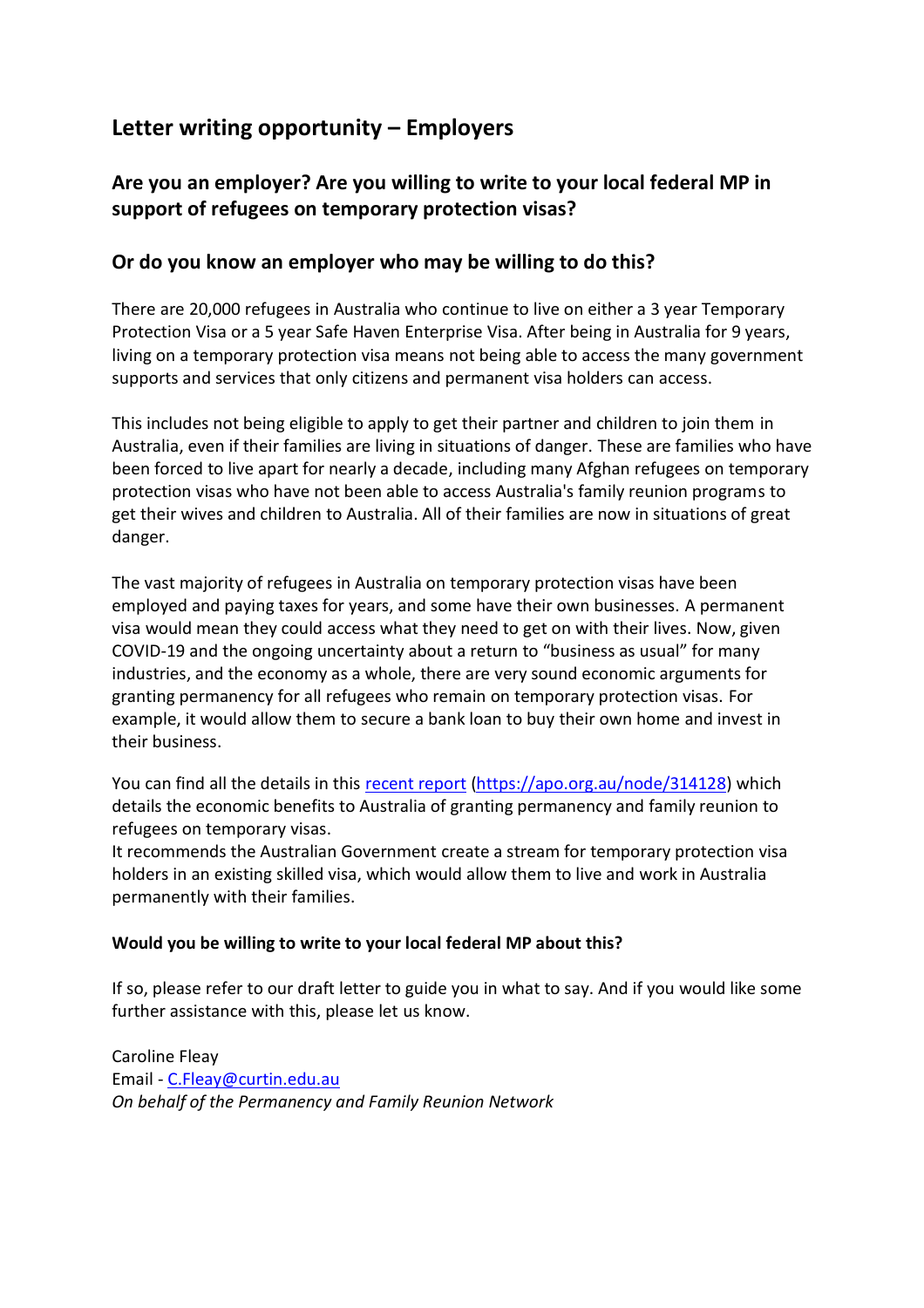# **Letter writing opportunity – Employers**

# **Are you an employer? Are you willing to write to your local federal MP in support of refugees on temporary protection visas?**

## **Or do you know an employer who may be willing to do this?**

There are 20,000 refugees in Australia who continue to live on either a 3 year Temporary Protection Visa or a 5 year Safe Haven Enterprise Visa. After being in Australia for 9 years, living on a temporary protection visa means not being able to access the many government supports and services that only citizens and permanent visa holders can access.

This includes not being eligible to apply to get their partner and children to join them in Australia, even if their families are living in situations of danger. These are families who have been forced to live apart for nearly a decade, including many Afghan refugees on temporary protection visas who have not been able to access Australia's family reunion programs to get their wives and children to Australia. All of their families are now in situations of great danger.

The vast majority of refugees in Australia on temporary protection visas have been employed and paying taxes for years, and some have their own businesses. A permanent visa would mean they could access what they need to get on with their lives. Now, given COVID-19 and the ongoing uncertainty about a return to "business as usual" for many industries, and the economy as a whole, there are very sound economic arguments for granting permanency for all refugees who remain on temporary protection visas. For example, it would allow them to secure a bank loan to buy their own home and invest in their business.

You can find all the details in this [recent report](https://apo.org.au/sites/default/files/resource-files/2021-09/apo-nid314128.pdf) [\(https://apo.org.au/node/314128\)](https://apo.org.au/node/314128) which details the economic benefits to Australia of granting permanency and family reunion to refugees on temporary visas.

It recommends the Australian Government create a stream for temporary protection visa holders in an existing skilled visa, which would allow them to live and work in Australia permanently with their families.

### **Would you be willing to write to your local federal MP about this?**

If so, please refer to our draft letter to guide you in what to say. And if you would like some further assistance with this, please let us know.

Caroline Fleay Email - [C.Fleay@curtin.edu.au](mailto:C.Fleay@curtin.edu.au) *On behalf of the Permanency and Family Reunion Network*